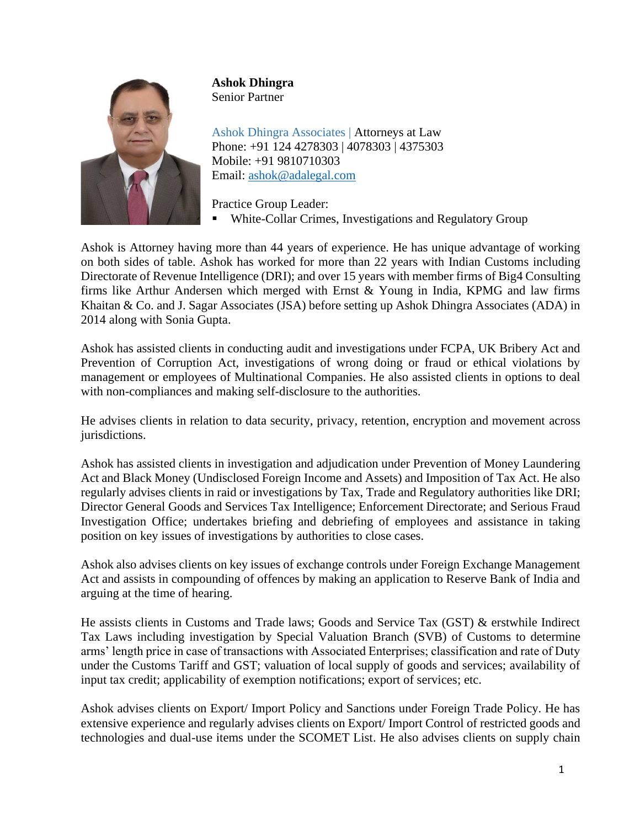

**Ashok Dhingra** Senior Partner

Ashok Dhingra Associates | Attorneys at Law Phone: +91 124 4278303 | 4078303 | 4375303 Mobile: +91 9810710303 Email: [ashok@adalegal.com](mailto:ashok@adalegal.com)

Practice Group Leader:

White-Collar Crimes, Investigations and Regulatory Group

Ashok is Attorney having more than 44 years of experience. He has unique advantage of working on both sides of table. Ashok has worked for more than 22 years with Indian Customs including Directorate of Revenue Intelligence (DRI); and over 15 years with member firms of Big4 Consulting firms like Arthur Andersen which merged with Ernst & Young in India, KPMG and law firms Khaitan & Co. and J. Sagar Associates (JSA) before setting up Ashok Dhingra Associates (ADA) in 2014 along with Sonia Gupta.

Ashok has assisted clients in conducting audit and investigations under FCPA, UK Bribery Act and Prevention of Corruption Act, investigations of wrong doing or fraud or ethical violations by management or employees of Multinational Companies. He also assisted clients in options to deal with non-compliances and making self-disclosure to the authorities.

He advises clients in relation to data security, privacy, retention, encryption and movement across jurisdictions.

Ashok has assisted clients in investigation and adjudication under Prevention of Money Laundering Act and Black Money (Undisclosed Foreign Income and Assets) and Imposition of Tax Act. He also regularly advises clients in raid or investigations by Tax, Trade and Regulatory authorities like DRI; Director General Goods and Services Tax Intelligence; Enforcement Directorate; and Serious Fraud Investigation Office; undertakes briefing and debriefing of employees and assistance in taking position on key issues of investigations by authorities to close cases.

Ashok also advises clients on key issues of exchange controls under Foreign Exchange Management Act and assists in compounding of offences by making an application to Reserve Bank of India and arguing at the time of hearing.

He assists clients in Customs and Trade laws; Goods and Service Tax (GST) & erstwhile Indirect Tax Laws including investigation by Special Valuation Branch (SVB) of Customs to determine arms' length price in case of transactions with Associated Enterprises; classification and rate of Duty under the Customs Tariff and GST; valuation of local supply of goods and services; availability of input tax credit; applicability of exemption notifications; export of services; etc.

Ashok advises clients on Export/ Import Policy and Sanctions under Foreign Trade Policy. He has extensive experience and regularly advises clients on Export/ Import Control of restricted goods and technologies and dual-use items under the SCOMET List. He also advises clients on supply chain